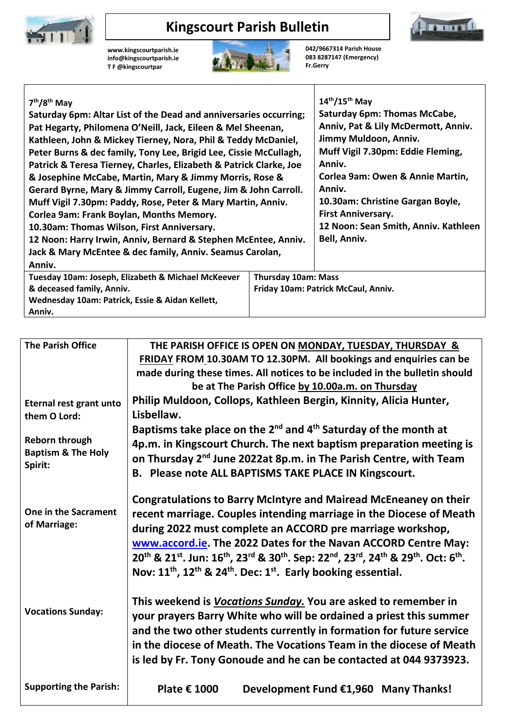

## **Kingscourt Parish Bulletin**

**[www.kingscourtparish.ie](http://www.kingscourtparish.ie/) info@kingscourtparish.ie T F @kingscourtpar** 



**042/9667314 Parish House 083 8287147 (Emergency) Fr.Gerry**

mm

| $7th/8th$ May                                                                    |  | $14^{th}/15^{th}$ May                |  |
|----------------------------------------------------------------------------------|--|--------------------------------------|--|
| Saturday 6pm: Altar List of the Dead and anniversaries occurring;                |  | Saturday 6pm: Thomas McCabe,         |  |
| Pat Hegarty, Philomena O'Neill, Jack, Eileen & Mel Sheenan,                      |  | Anniv, Pat & Lily McDermott, Anniv.  |  |
| Kathleen, John & Mickey Tierney, Nora, Phil & Teddy McDaniel,                    |  | Jimmy Muldoon, Anniv.                |  |
| Peter Burns & dec family, Tony Lee, Brigid Lee, Cissie McCullagh,                |  | Muff Vigil 7.30pm: Eddie Fleming,    |  |
| Patrick & Teresa Tierney, Charles, Elizabeth & Patrick Clarke, Joe               |  | Anniv.                               |  |
| & Josephine McCabe, Martin, Mary & Jimmy Morris, Rose &                          |  | Corlea 9am: Owen & Annie Martin,     |  |
| Gerard Byrne, Mary & Jimmy Carroll, Eugene, Jim & John Carroll.                  |  | Anniv.                               |  |
| Muff Vigil 7.30pm: Paddy, Rose, Peter & Mary Martin, Anniv.                      |  | 10.30am: Christine Gargan Boyle,     |  |
| Corlea 9am: Frank Boylan, Months Memory.                                         |  | <b>First Anniversary.</b>            |  |
| 10.30am: Thomas Wilson, First Anniversary.                                       |  | 12 Noon: Sean Smith, Anniv. Kathleen |  |
| 12 Noon: Harry Irwin, Anniv, Bernard & Stephen McEntee, Anniv.                   |  | Bell, Anniv.                         |  |
| Jack & Mary McEntee & dec family, Anniv. Seamus Carolan,                         |  |                                      |  |
| Anniv.                                                                           |  |                                      |  |
| Tuesday 10am: Joseph, Elizabeth & Michael McKeever<br><b>Thursday 10am: Mass</b> |  |                                      |  |
| & deceased family, Anniv.                                                        |  | Friday 10am: Patrick McCaul, Anniv.  |  |
| Wednesday 10am: Patrick, Essie & Aidan Kellett,                                  |  |                                      |  |
| Anniv.                                                                           |  |                                      |  |

| <b>The Parish Office</b>                                          | THE PARISH OFFICE IS OPEN ON MONDAY, TUESDAY, THURSDAY &                                                                                                                                                    |  |  |
|-------------------------------------------------------------------|-------------------------------------------------------------------------------------------------------------------------------------------------------------------------------------------------------------|--|--|
|                                                                   | FRIDAY FROM 10.30AM TO 12.30PM. All bookings and enquiries can be                                                                                                                                           |  |  |
|                                                                   | made during these times. All notices to be included in the bulletin should                                                                                                                                  |  |  |
|                                                                   | be at The Parish Office by 10.00a.m. on Thursday                                                                                                                                                            |  |  |
| Eternal rest grant unto                                           | Philip Muldoon, Collops, Kathleen Bergin, Kinnity, Alicia Hunter,                                                                                                                                           |  |  |
| them O Lord:                                                      | Lisbellaw.                                                                                                                                                                                                  |  |  |
| <b>Reborn through</b><br><b>Baptism &amp; The Holy</b><br>Spirit: | Baptisms take place on the $2^{nd}$ and $4^{th}$ Saturday of the month at                                                                                                                                   |  |  |
|                                                                   | 4p.m. in Kingscourt Church. The next baptism preparation meeting is                                                                                                                                         |  |  |
|                                                                   | on Thursday 2 <sup>nd</sup> June 2022at 8p.m. in The Parish Centre, with Team                                                                                                                               |  |  |
|                                                                   | B. Please note ALL BAPTISMS TAKE PLACE IN Kingscourt.                                                                                                                                                       |  |  |
|                                                                   |                                                                                                                                                                                                             |  |  |
| One in the Sacrament<br>of Marriage:                              | <b>Congratulations to Barry McIntyre and Mairead McEneaney on their</b>                                                                                                                                     |  |  |
|                                                                   | recent marriage. Couples intending marriage in the Diocese of Meath                                                                                                                                         |  |  |
|                                                                   | during 2022 must complete an ACCORD pre marriage workshop,                                                                                                                                                  |  |  |
|                                                                   | www.accord.ie. The 2022 Dates for the Navan ACCORD Centre May:                                                                                                                                              |  |  |
|                                                                   | 20 <sup>th</sup> & 21 <sup>st</sup> . Jun: 16 <sup>th</sup> , 23 <sup>rd</sup> & 30 <sup>th</sup> . Sep: 22 <sup>nd</sup> , 23 <sup>rd</sup> , 24 <sup>th</sup> & 29 <sup>th</sup> . Oct: 6 <sup>th</sup> . |  |  |
|                                                                   | Nov: 11 <sup>th</sup> , 12 <sup>th</sup> & 24 <sup>th</sup> . Dec: 1 <sup>st</sup> . Early booking essential.                                                                                               |  |  |
|                                                                   |                                                                                                                                                                                                             |  |  |
|                                                                   | This weekend is <i>Vocations Sunday</i> . You are asked to remember in                                                                                                                                      |  |  |
| <b>Vocations Sunday:</b>                                          | your prayers Barry White who will be ordained a priest this summer                                                                                                                                          |  |  |
|                                                                   |                                                                                                                                                                                                             |  |  |
|                                                                   | and the two other students currently in formation for future service                                                                                                                                        |  |  |
|                                                                   | in the diocese of Meath. The Vocations Team in the diocese of Meath                                                                                                                                         |  |  |
|                                                                   | is led by Fr. Tony Gonoude and he can be contacted at 044 9373923.                                                                                                                                          |  |  |
|                                                                   |                                                                                                                                                                                                             |  |  |
| <b>Supporting the Parish:</b>                                     | Plate € 1000<br>Development Fund €1,960 Many Thanks!                                                                                                                                                        |  |  |